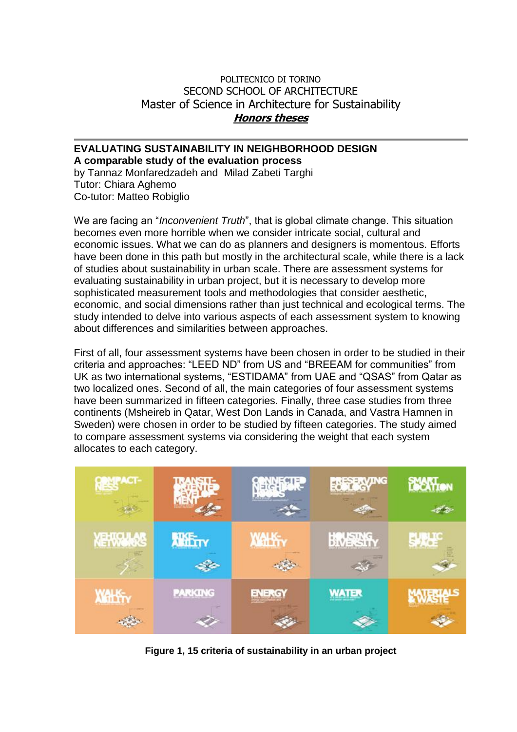## POLITECNICO DI TORINO SECOND SCHOOL OF ARCHITECTURE Master of Science in Architecture for Sustainability **Honors theses**

## **EVALUATING SUSTAINABILITY IN NEIGHBORHOOD DESIGN A comparable study of the evaluation process**

by Tannaz Monfaredzadeh and Milad Zabeti Targhi Tutor: Chiara Aghemo Co-tutor: Matteo Robiglio

We are facing an "*Inconvenient Truth*", that is global climate change. This situation becomes even more horrible when we consider intricate social, cultural and economic issues. What we can do as planners and designers is momentous. Efforts have been done in this path but mostly in the architectural scale, while there is a lack of studies about sustainability in urban scale. There are assessment systems for evaluating sustainability in urban project, but it is necessary to develop more sophisticated measurement tools and methodologies that consider aesthetic, economic, and social dimensions rather than just technical and ecological terms. The study intended to delve into various aspects of each assessment system to knowing about differences and similarities between approaches.

First of all, four assessment systems have been chosen in order to be studied in their criteria and approaches: "LEED ND" from US and "BREEAM for communities" from UK as two international systems, "ESTIDAMA" from UAE and "QSAS" from Qatar as two localized ones. Second of all, the main categories of four assessment systems have been summarized in fifteen categories. Finally, three case studies from three continents (Msheireb in Qatar, West Don Lands in Canada, and Vastra Hamnen in Sweden) were chosen in order to be studied by fifteen categories. The study aimed to compare assessment systems via considering the weight that each system allocates to each category.



**Figure 1, 15 criteria of sustainability in an urban project**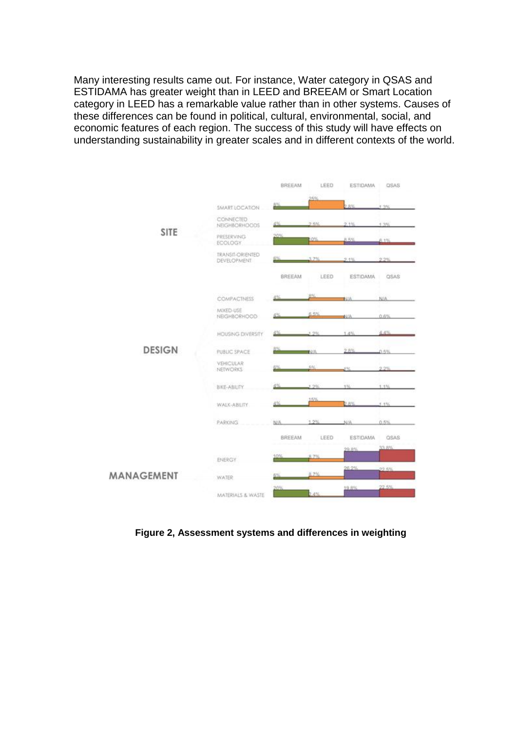Many interesting results came out. For instance, Water category in QSAS and ESTIDAMA has greater weight than in LEED and BREEAM or Smart Location category in LEED has a remarkable value rather than in other systems. Causes of these differences can be found in political, cultural, environmental, social, and economic features of each region. The success of this study will have effects on understanding sustainability in greater scales and in different contexts of the world.



**Figure 2, Assessment systems and differences in weighting**